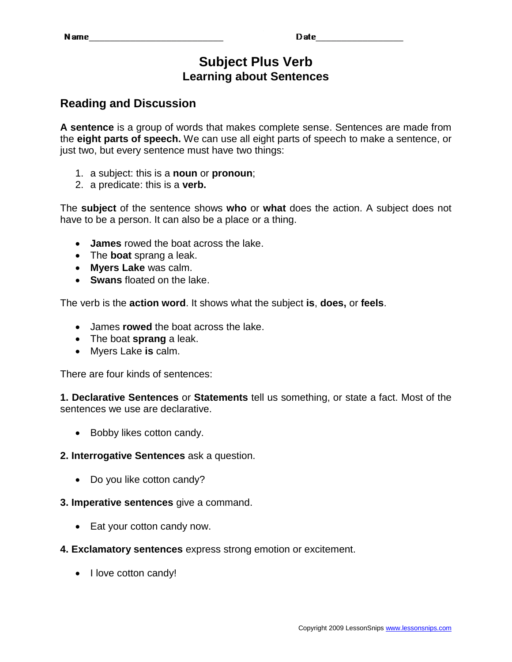# **Subject Plus Verb Learning about Sentences**

# **Reading and Discussion**

**A sentence** is a group of words that makes complete sense. Sentences are made from the **eight parts of speech.** We can use all eight parts of speech to make a sentence, or just two, but every sentence must have two things:

- 1. a subject: this is a **noun** or **pronoun**;
- 2. a predicate: this is a **verb.**

The **subject** of the sentence shows **who** or **what** does the action. A subject does not have to be a person. It can also be a place or a thing.

- **James** rowed the boat across the lake.
- The **boat** sprang a leak.
- **Myers Lake** was calm.
- **Swans** floated on the lake.

The verb is the **action word**. It shows what the subject **is**, **does,** or **feels**.

- James **rowed** the boat across the lake.
- The boat **sprang** a leak.
- Myers Lake **is** calm.

There are four kinds of sentences:

**1. Declarative Sentences** or **Statements** tell us something, or state a fact. Most of the sentences we use are declarative.

• Bobby likes cotton candy.

### **2. Interrogative Sentences** ask a question.

• Do you like cotton candy?

### **3. Imperative sentences** give a command.

• Eat your cotton candy now.

### **4. Exclamatory sentences** express strong emotion or excitement.

• I love cotton candy!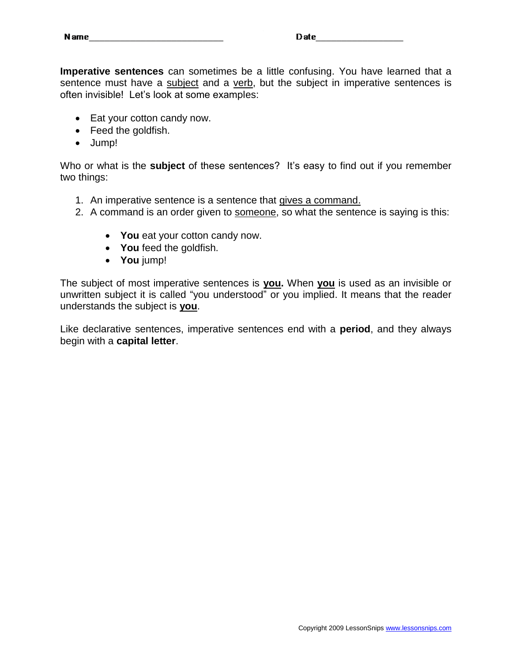**Imperative sentences** can sometimes be a little confusing. You have learned that a sentence must have a subject and a verb, but the subject in imperative sentences is often invisible! Let's look at some examples:

- Eat your cotton candy now.
- Feed the goldfish.
- Jump!

Who or what is the **subject** of these sentences? It's easy to find out if you remember two things:

- 1. An imperative sentence is a sentence that gives a command.
- 2. A command is an order given to someone, so what the sentence is saying is this:
	- **You** eat your cotton candy now.
	- **You** feed the goldfish.
	- **You** jump!

The subject of most imperative sentences is **you.** When **you** is used as an invisible or unwritten subject it is called "you understood" or you implied. It means that the reader understands the subject is **you**.

Like declarative sentences, imperative sentences end with a **period**, and they always begin with a **capital letter**.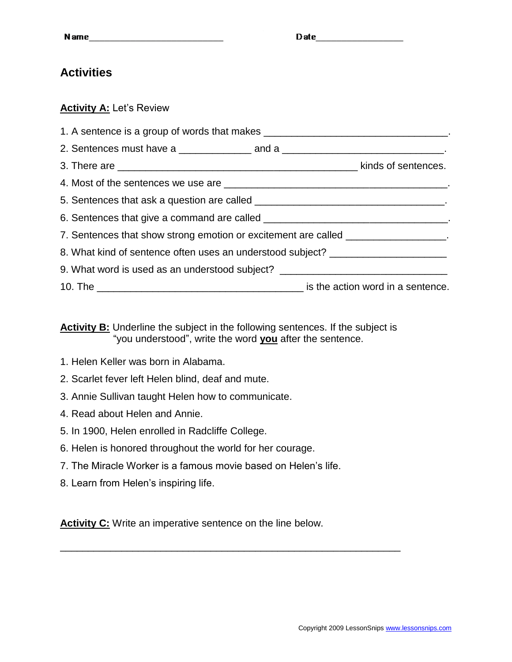# **Activities**

## **Activity A:** Let's Review

| 1. A sentence is a group of words that makes ___________________________________. |  |
|-----------------------------------------------------------------------------------|--|
|                                                                                   |  |
|                                                                                   |  |
|                                                                                   |  |
|                                                                                   |  |
|                                                                                   |  |
| 7. Sentences that show strong emotion or excitement are called _________________. |  |
| 8. What kind of sentence often uses an understood subject? _____________________  |  |
| 9. What word is used as an understood subject? _________________________________  |  |
|                                                                                   |  |

### **Activity B:** Underline the subject in the following sentences. If the subject is "you understood", write the word **you** after the sentence.

- 1. Helen Keller was born in Alabama.
- 2. Scarlet fever left Helen blind, deaf and mute.
- 3. Annie Sullivan taught Helen how to communicate.
- 4. Read about Helen and Annie.
- 5. In 1900, Helen enrolled in Radcliffe College.
- 6. Helen is honored throughout the world for her courage.
- 7. The Miracle Worker is a famous movie based on Helen's life.
- 8. Learn from Helen's inspiring life.

**Activity C:** Write an imperative sentence on the line below.

\_\_\_\_\_\_\_\_\_\_\_\_\_\_\_\_\_\_\_\_\_\_\_\_\_\_\_\_\_\_\_\_\_\_\_\_\_\_\_\_\_\_\_\_\_\_\_\_\_\_\_\_\_\_\_\_\_\_\_\_\_